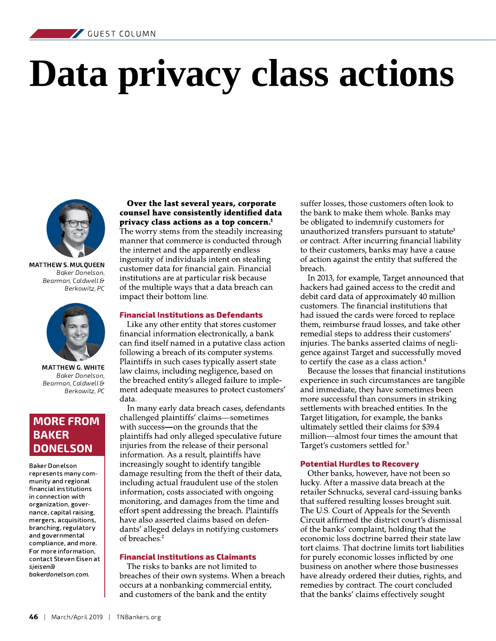# Data privacy class actions



**MATTHEW S. MULOUEEN** Baker Donelson, Bearman, Caldwell & Berkowitz, PC



MATTHEW G. WHITE Baker Donelson, Bearman, Caldwell & Berkowitz, PC

#### **MORE FROM BAKER DONELSON**

**Baker Donelson** represents many community and regional financial institutions in connection with organization, governance, capital raising, mergers, acquisitions, branching, regulatory and governmental compliance, and more. For more information, contact Steven Eisen at sieisena bakerdonelson.com.

#### Over the last several years, corporate counsel have consistently identified data privacy class actions as a top concern.<sup>1</sup>

The worry stems from the steadily increasing manner that commerce is conducted through the internet and the apparently endless ingenuity of individuals intent on stealing customer data for financial gain. Financial institutions are at particular risk because of the multiple ways that a data breach can impact their bottom line.

#### **Financial Institutions as Defendants**

Like any other entity that stores customer financial information electronically, a bank can find itself named in a putative class action following a breach of its computer systems. Plaintiffs in such cases typically assert state law claims, including negligence, based on the breached entity's alleged failure to implement adequate measures to protect customers' data.

In many early data breach cases, defendants challenged plaintiffs' claims-sometimes with success-on the grounds that the plaintiffs had only alleged speculative future injuries from the release of their personal information. As a result, plaintiffs have increasingly sought to identify tangible damage resulting from the theft of their data, including actual fraudulent use of the stolen information, costs associated with ongoing monitoring, and damages from the time and effort spent addressing the breach. Plaintiffs have also asserted claims based on defendants' alleged delays in notifying customers of breaches.<sup>2</sup>

#### **Financial Institutions as Claimants**

The risks to banks are not limited to breaches of their own systems. When a breach occurs at a nonbanking commercial entity, and customers of the bank and the entity

suffer losses, those customers often look to the bank to make them whole. Banks may be obligated to indemnify customers for unauthorized transfers pursuant to statute<sup>3</sup> or contract. After incurring financial liability to their customers, banks may have a cause of action against the entity that suffered the breach.

In 2013, for example, Target announced that hackers had gained access to the credit and debit card data of approximately 40 million customers. The financial institutions that had issued the cards were forced to replace them, reimburse fraud losses, and take other remedial steps to address their customers' injuries. The banks asserted claims of negligence against Target and successfully moved to certify the case as a class action.<sup>4</sup>

Because the losses that financial institutions experience in such circumstances are tangible and immediate, they have sometimes been more successful than consumers in striking settlements with breached entities. In the Target litigation, for example, the banks ultimately settled their claims for \$39.4 million—almost four times the amount that Target's customers settled for.<sup>5</sup>

#### **Potential Hurdles to Recovery**

Other banks, however, have not been so lucky. After a massive data breach at the retailer Schnucks, several card-issuing banks that suffered resulting losses brought suit. The U.S. Court of Appeals for the Seventh Circuit affirmed the district court's dismissal of the banks' complaint, holding that the economic loss doctrine barred their state law tort claims. That doctrine limits tort liabilities for purely economic losses inflicted by one business on another where those businesses have already ordered their duties, rights, and remedies by contract. The court concluded that the banks' claims effectively sought